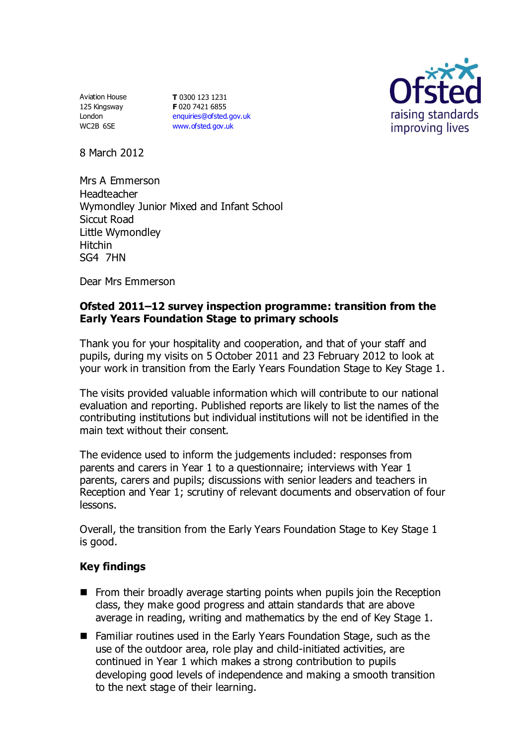Aviation House 125 Kingsway London WC2B 6SE

**T** 0300 123 1231 **F** 020 7421 6855 [enquiries@ofsted.gov.uk](mailto:enquiries@ofsted.gov.uk) [www.ofsted.gov.uk](http://www.ofsted.gov.uk/)



8 March 2012

Mrs A Emmerson Headteacher Wymondley Junior Mixed and Infant School Siccut Road Little Wymondley Hitchin SG4 7HN

Dear Mrs Emmerson

## **Ofsted 2011–12 survey inspection programme: transition from the Early Years Foundation Stage to primary schools**

Thank you for your hospitality and cooperation, and that of your staff and pupils, during my visits on 5 October 2011 and 23 February 2012 to look at your work in transition from the Early Years Foundation Stage to Key Stage 1.

The visits provided valuable information which will contribute to our national evaluation and reporting. Published reports are likely to list the names of the contributing institutions but individual institutions will not be identified in the main text without their consent.

The evidence used to inform the judgements included: responses from parents and carers in Year 1 to a questionnaire; interviews with Year 1 parents, carers and pupils; discussions with senior leaders and teachers in Reception and Year 1; scrutiny of relevant documents and observation of four lessons.

Overall, the transition from the Early Years Foundation Stage to Key Stage 1 is good.

## **Key findings**

- $\blacksquare$  From their broadly average starting points when pupils join the Reception class, they make good progress and attain standards that are above average in reading, writing and mathematics by the end of Key Stage 1.
- Familiar routines used in the Early Years Foundation Stage, such as the use of the outdoor area, role play and child-initiated activities, are continued in Year 1 which makes a strong contribution to pupils developing good levels of independence and making a smooth transition to the next stage of their learning.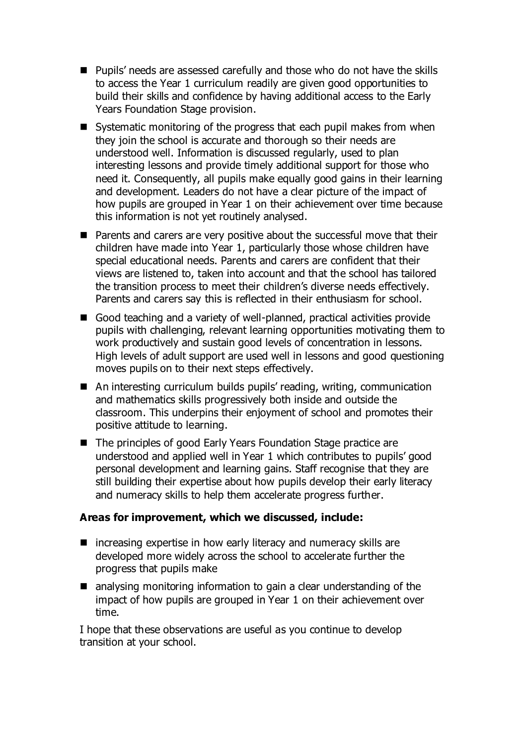- Pupils' needs are assessed carefully and those who do not have the skills to access the Year 1 curriculum readily are given good opportunities to build their skills and confidence by having additional access to the Early Years Foundation Stage provision.
- Systematic monitoring of the progress that each pupil makes from when they join the school is accurate and thorough so their needs are understood well. Information is discussed regularly, used to plan interesting lessons and provide timely additional support for those who need it. Consequently, all pupils make equally good gains in their learning and development. Leaders do not have a clear picture of the impact of how pupils are grouped in Year 1 on their achievement over time because this information is not yet routinely analysed.
- Parents and carers are very positive about the successful move that their children have made into Year 1, particularly those whose children have special educational needs. Parents and carers are confident that their views are listened to, taken into account and that the school has tailored the transition process to meet their children's diverse needs effectively. Parents and carers say this is reflected in their enthusiasm for school.
- Good teaching and a variety of well-planned, practical activities provide pupils with challenging, relevant learning opportunities motivating them to work productively and sustain good levels of concentration in lessons. High levels of adult support are used well in lessons and good questioning moves pupils on to their next steps effectively.
- An interesting curriculum builds pupils' reading, writing, communication and mathematics skills progressively both inside and outside the classroom. This underpins their enjoyment of school and promotes their positive attitude to learning.
- The principles of good Early Years Foundation Stage practice are understood and applied well in Year 1 which contributes to pupils' good personal development and learning gains. Staff recognise that they are still building their expertise about how pupils develop their early literacy and numeracy skills to help them accelerate progress further.

## **Areas for improvement, which we discussed, include:**

- $\blacksquare$  increasing expertise in how early literacy and numeracy skills are developed more widely across the school to accelerate further the progress that pupils make
- analysing monitoring information to gain a clear understanding of the impact of how pupils are grouped in Year 1 on their achievement over time.

I hope that these observations are useful as you continue to develop transition at your school.